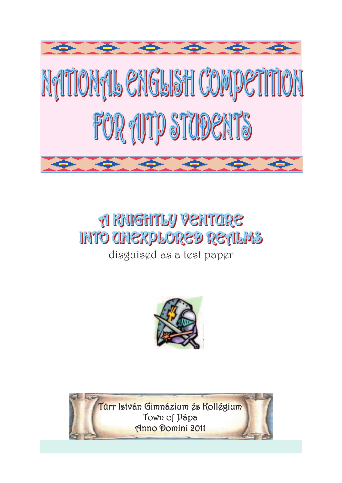

# **A RAIGHTLY VENTORE INTO CHIEXPLORED RETILMS**

# disguised as a test paper



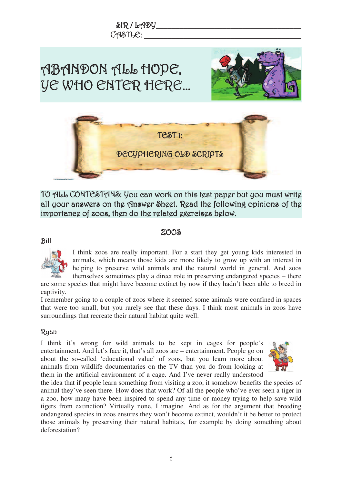

TO ALL CONTESTANS: You can work on this test paper but you must <u>write</u> all your answers on the Answer Sheet. Read the following opinions of the importaneg of zoos, thgn do thg rglatgd gxgreisgs bglow.

#### $200$ \$

#### Bill



I think zoos are really important. For a start they get young kids interested in animals, which means those kids are more likely to grow up with an interest in helping to preserve wild animals and the natural world in general. And zoos themselves sometimes play a direct role in preserving endangered species – there

are some species that might have become extinct by now if they hadn't been able to breed in captivity.

I remember going to a couple of zoos where it seemed some animals were confined in spaces that were too small, but you rarely see that these days. I think most animals in zoos have surroundings that recreate their natural habitat quite well.

## Ryan

I think it's wrong for wild animals to be kept in cages for people's entertainment. And let's face it, that's all zoos are – entertainment. People go on about the so-called 'educational value' of zoos, but you learn more about animals from wildlife documentaries on the TV than you do from looking at them in the artificial environment of a cage. And I've never really understood



the idea that if people learn something from visiting a zoo, it somehow benefits the species of animal they've seen there. How does that work? Of all the people who've ever seen a tiger in a zoo, how many have been inspired to spend any time or money trying to help save wild tigers from extinction? Virtually none, I imagine. And as for the argument that breeding endangered species in zoos ensures they won't become extinct, wouldn't it be better to protect those animals by preserving their natural habitats, for example by doing something about deforestation?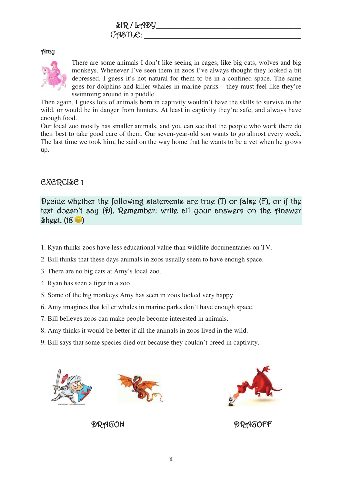#### $\mathcal{A}$ my



There are some animals I don't like seeing in cages, like big cats, wolves and big monkeys. Whenever I've seen them in zoos I've always thought they looked a bit depressed. I guess it's not natural for them to be in a confined space. The same goes for dolphins and killer whales in marine parks – they must feel like they're swimming around in a puddle.

Then again, I guess lots of animals born in captivity wouldn't have the skills to survive in the wild, or would be in danger from hunters. At least in captivity they're safe, and always have enough food.

Our local zoo mostly has smaller animals, and you can see that the people who work there do their best to take good care of them. Our seven-year-old son wants to go almost every week. The last time we took him, he said on the way home that he wants to be a vet when he grows up.

## $C \times C \times C \times C$  1

Decide whether the following statements are true (T) or false (F), or if the text doesn't say (D). Remember: write all your answers on the Answer  $\delta$ hggt. (18 $\bullet$ )

- 1. Ryan thinks zoos have less educational value than wildlife documentaries on TV.
- 2. Bill thinks that these days animals in zoos usually seem to have enough space.
- 3. There are no big cats at Amy's local zoo.
- 4. Ryan has seen a tiger in a zoo.
- 5. Some of the big monkeys Amy has seen in zoos looked very happy.
- 6. Amy imagines that killer whales in marine parks don't have enough space.
- 7. Bill believes zoos can make people become interested in animals.
- 8. Amy thinks it would be better if all the animals in zoos lived in the wild.
- 9. Bill says that some species died out because they couldn't breed in captivity.







 $\mathcal{P}R$ AGON  $\mathcal{P}R$ AGOFF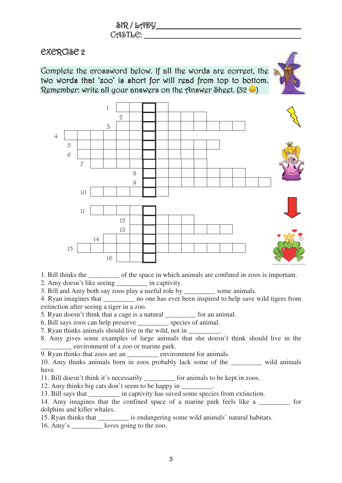# **EXERCISE 2**

Complete the crossword below. If all the words are correct, the  $\overline{\phantom{a}}$ two words that 'zoo' is short for will read from top to bottom. Remember: write all your answers on the Answer Sheet. (32  $\blacktriangleright$  )





- 1. Bill thinks the \_\_\_\_\_\_\_\_\_ of the space in which animals are confined in zoos is important.
- 2. Amy doesn't like seeing \_\_\_\_\_\_\_\_\_ in captivity.
- 3. Bill and Amy both say zoos play a useful role by some animals.

4. Ryan imagines that \_\_\_\_\_\_\_\_\_ no one has ever been inspired to help save wild tigers from extinction after seeing a tiger in a zoo.

- 5. Ryan doesn't think that a cage is a natural \_\_\_\_\_\_\_\_\_ for an animal.
- 6. Bill says zoos can help preserve \_\_\_\_\_\_\_\_\_ species of animal.
- 7. Ryan thinks animals should live in the wild, not in  $\blacksquare$
- 8. Amy gives some examples of large animals that she doesn't think should live in the \_\_\_\_\_\_\_\_\_ environment of a zoo or marine park.

9. Ryan thinks that zoos are an \_\_\_\_\_\_\_\_\_ environment for animals.

10. Amy thinks animals born in zoos probably lack some of the \_\_\_\_\_\_\_\_\_ wild animals have.

11. Bill doesn't think it's necessarily \_\_\_\_\_\_\_\_\_ for animals to be kept in zoos.

12. Amy thinks big cats don't seem to be happy in \_\_\_\_\_\_\_\_.

13. Bill says that \_\_\_\_\_\_\_\_\_ in captivity has saved some species from extinction.

14. Amy imagines that the confined space of a marine park feels like a \_\_\_\_\_\_\_\_ for dolphins and killer whales.

15. Ryan thinks that \_\_\_\_\_\_\_\_\_ is endangering some wild animals' natural habitats.

16. Amy's \_\_\_\_\_\_\_\_\_ loves going to the zoo.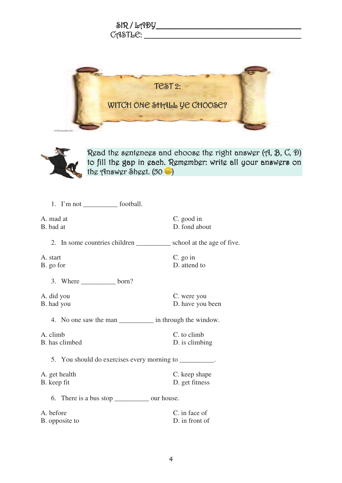| $\delta$ R/LADY           |  |
|---------------------------|--|
| $C$ $A$ $S$ $T$ $B$ $C$ : |  |





Read the sentences and choose the right answer (A, B, C, D) to fill the gap in each. Remember: write all your answers on the Answer Sheet.  $(50 \bullet)$ 

| A. mad at<br>B. bad at                                                | C. good in<br>D. fond about     |
|-----------------------------------------------------------------------|---------------------------------|
| 2. In some countries children ____________ school at the age of five. |                                 |
| A. start<br>B. go for                                                 | $C.$ go in<br>D. attend to      |
| 3. Where $\_\_\_\_\_\_\$ born?                                        |                                 |
| A. did you<br>B. had you                                              | C. were you<br>D. have you been |
| 4. No one saw the man _____________ in through the window.            |                                 |
| A. climb<br>B. has climbed                                            | C. to climb<br>D. is climbing   |
| 5. You should do exercises every morning to __________.               |                                 |
| A. get health<br>B. keep fit                                          | C. keep shape<br>D. get fitness |
| 6. There is a bus stop _____________ our house.                       |                                 |
| A. before                                                             | C. in face of                   |
| B. opposite to                                                        | D. in front of                  |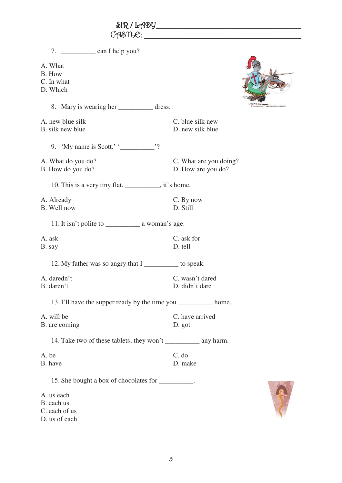| 7. $\frac{\ }{\ }$ can I help you?                              |                        |
|-----------------------------------------------------------------|------------------------|
| A. What                                                         |                        |
| B. How                                                          |                        |
| C. In what                                                      |                        |
| D. Which                                                        |                        |
| 8. Mary is wearing her _______________ dress.                   |                        |
| A. new blue silk                                                | C. blue silk new       |
| B. silk new blue                                                | D. new silk blue       |
| 9. 'My name is Scott.' ' $\frac{1}{2}$ '?                       |                        |
| A. What do you do?                                              | C. What are you doing? |
| B. How do you do?                                               | D. How are you do?     |
| 10. This is a very tiny flat. __________, it's home.            |                        |
| A. Already                                                      | C. By now              |
| B. Well now                                                     | D. Still               |
|                                                                 |                        |
| A. ask                                                          | C. ask for             |
| B. say                                                          | D. tell                |
| 12. My father was so angry that I ___________ to speak.         |                        |
| A. daredn't                                                     | C. wasn't dared        |
| B. daren't                                                      | D. didn't dare         |
| 13. I'll have the supper ready by the time you __________ home. |                        |
| A. will be                                                      | C. have arrived        |
| B. are coming                                                   | D. got                 |
|                                                                 |                        |
| A. be                                                           | C. do                  |
| B. have                                                         | D. make                |
| 15. She bought a box of chocolates for __________.              |                        |
| A. us each                                                      |                        |
| B. each us                                                      |                        |
| C. each of us                                                   |                        |
| D. us of each                                                   |                        |

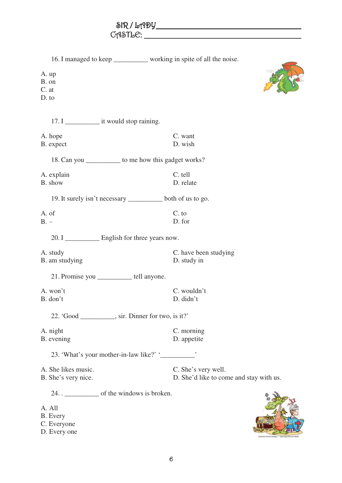| $\delta$ R/LADY |  |
|-----------------|--|
| CASTLE:         |  |

| 16. I managed to keep ______________ working in spite of all the noise.                             |                                                                |
|-----------------------------------------------------------------------------------------------------|----------------------------------------------------------------|
| A. up<br>B. on<br>C. at<br>D. to                                                                    |                                                                |
|                                                                                                     |                                                                |
| A. hope<br>B. expect                                                                                | C. want<br>D. wish                                             |
| 18. Can you _____________ to me how this gadget works?                                              |                                                                |
| A. explain<br>B. show                                                                               | C. tell<br>D. relate                                           |
| 19. It surely isn't necessary __________ both of us to go.                                          |                                                                |
| A. of<br>$B -$                                                                                      | C. to<br>D. for                                                |
| 20. I ____________ English for three years now.                                                     |                                                                |
| A. study<br>B. am studying                                                                          | C. have been studying<br>D. study in                           |
| 21. Promise you __________ tell anyone.                                                             |                                                                |
| A. won't<br>B. don't                                                                                | C. wouldn't<br>D. didn't                                       |
| 22. 'Good ___________, sir. Dinner for two, is it?'                                                 |                                                                |
| A. night<br>B. evening                                                                              | C. morning<br>D. appetite                                      |
| 23. 'What's your mother-in-law like?' '                                                             |                                                                |
| A. She likes music.<br>B. She's very nice.                                                          | C. She's very well.<br>D. She'd like to come and stay with us. |
| 24. . ______________ of the windows is broken.<br>A. All<br>B. Every<br>C. Everyone<br>D. Every one |                                                                |

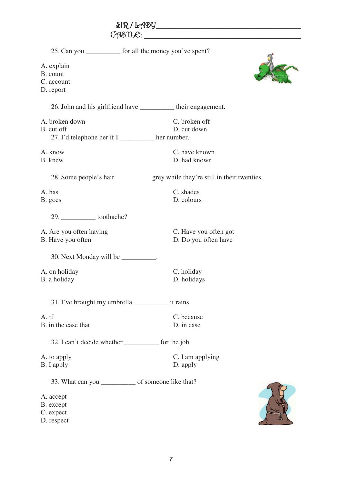|                                                                                                            | $C \cap \mathcal{S} \cap \mathcal{C}$         |  |  |
|------------------------------------------------------------------------------------------------------------|-----------------------------------------------|--|--|
| 25. Can you _____________ for all the money you've spent?                                                  |                                               |  |  |
| A. explain<br>B. count<br>C. account<br>D. report                                                          |                                               |  |  |
| 26. John and his girlfriend have __________ their engagement.                                              |                                               |  |  |
| A. broken down<br>B. cut off<br>27. I'd telephone her if I _________ her number.                           | C. broken off<br>D. cut down                  |  |  |
| A. know<br>B. knew                                                                                         | C. have known<br>D. had known                 |  |  |
| 28. Some people's hair ______________ grey while they're still in their twenties.                          |                                               |  |  |
| A. has<br>B. goes                                                                                          | C. shades<br>D. colours                       |  |  |
| 29. _______________toothache?                                                                              |                                               |  |  |
| A. Are you often having<br>B. Have you often                                                               | C. Have you often got<br>D. Do you often have |  |  |
| 30. Next Monday will be __________.                                                                        |                                               |  |  |
| A. on holiday<br>B. a holiday                                                                              | C. holiday<br>D. holidays                     |  |  |
| 31. I've brought my umbrella _________________ it rains.                                                   |                                               |  |  |
| A. if<br>B. in the case that                                                                               | C. because<br>D. in case                      |  |  |
| 32. I can't decide whether ____________ for the job.                                                       |                                               |  |  |
| A. to apply<br>B. I apply                                                                                  | C. I am applying<br>D. apply                  |  |  |
| 33. What can you ______________ of someone like that?<br>A. accept<br>B. except<br>C. expect<br>D. respect |                                               |  |  |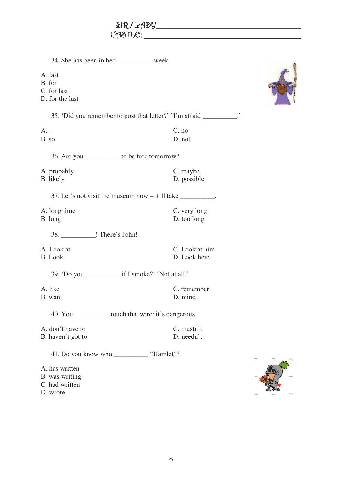| 34. She has been in bed ___________ week.                           |                                |  |
|---------------------------------------------------------------------|--------------------------------|--|
| A. last<br>B. for<br>C. for last<br>D. for the last                 |                                |  |
| 35. 'Did you remember to post that letter?' 'I'm afraid _________.' |                                |  |
| $A. -$<br>B. so                                                     | C. no<br>D. not                |  |
| 36. Are you ___________ to be free tomorrow?                        |                                |  |
| A. probably<br>B. likely                                            | C. maybe<br>D. possible        |  |
| 37. Let's not visit the museum now $-$ it'll take _________.        |                                |  |
| A. long time<br>B. long                                             | C. very long<br>D. too long    |  |
| 38. ____________! There's John!                                     |                                |  |
| A. Look at<br><b>B.</b> Look                                        | C. Look at him<br>D. Look here |  |
|                                                                     |                                |  |
| A. like<br>B. want                                                  | C. remember<br>D. mind         |  |
| 40. You ____________ touch that wire: it's dangerous.               |                                |  |
| A. don't have to<br>B. haven't got to                               | C. mustn't<br>D. needn't       |  |
| 41. Do you know who ____________ "Hamlet"?                          |                                |  |
| A. has written<br>B. was writing<br>C. had written<br>D. wrote      |                                |  |

自分の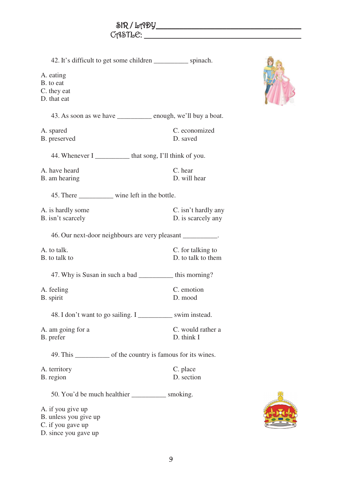| 42. It's difficult to get some children _____________ spinach.<br>A. eating<br>B. to eat<br>C. they eat<br>D. that eat |                                           |  |
|------------------------------------------------------------------------------------------------------------------------|-------------------------------------------|--|
| 43. As soon as we have _________ enough, we'll buy a boat.                                                             |                                           |  |
| A. spared<br>B. preserved                                                                                              | C. economized<br>D. saved                 |  |
| 44. Whenever I ____________ that song, I'll think of you.                                                              |                                           |  |
| A. have heard<br>B. am hearing                                                                                         | C. hear<br>D. will hear                   |  |
| 45. There _________ wine left in the bottle.                                                                           |                                           |  |
| A. is hardly some<br>B. isn't scarcely                                                                                 | C. isn't hardly any<br>D. is scarcely any |  |
| 46. Our next-door neighbours are very pleasant __________.                                                             |                                           |  |
| A. to talk.<br>B. to talk to                                                                                           | C. for talking to<br>D. to talk to them   |  |
| 47. Why is Susan in such a bad ____________ this morning?                                                              |                                           |  |
| A. feeling<br>B. spirit                                                                                                | C. emotion<br>D. mood                     |  |
| 48. I don't want to go sailing. I _____________ swim instead.                                                          |                                           |  |
| A. am going for a<br>B. prefer                                                                                         | C. would rather a<br>D. think I           |  |
| 49. This _______________ of the country is famous for its wines.                                                       |                                           |  |
| A. territory<br>B. region                                                                                              | C. place<br>D. section                    |  |
| 50. You'd be much healthier ______________ smoking.                                                                    |                                           |  |

C. if you gave up D. since you gave up

A. if you give up B. unless you give up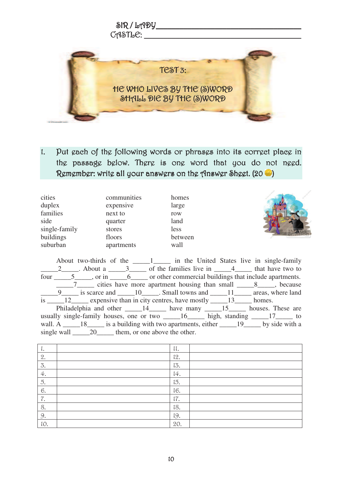

1. Put each of the following words or phrases into its correct place in the passage below. There is one word that you do not need. Remember: write all your answers on the Answer Sheet. (20  $\bullet$  )

| cities        | communities | homes   |
|---------------|-------------|---------|
| duplex        | expensive   | large   |
| families      | next to     | row     |
| side          | quarter     | land    |
| single-family | stores      | less    |
| buildings     | floors      | between |
| suburban      | apartments  | wall    |





About two-thirds of the \_\_\_\_\_\_\_\_\_\_\_ in the United States live in single-family  $2$  About a  $3$  of the families live in  $4$  4 that have two to four \_\_\_\_\_\_5\_\_\_\_, or in \_\_\_\_\_\_\_\_6\_\_\_\_\_ or other commercial buildings that include apartments. \_\_\_\_\_7\_\_\_\_\_ cities have more apartment housing than small \_\_\_\_\_8\_\_\_\_\_, because  $\frac{9}{2}$  is scarce and  $\frac{10}{2}$ . Small towns and  $\frac{11}{2}$  areas, where land is  $\frac{12}{13}$  expensive than in city centres, have mostly  $\frac{13}{13}$  homes. Philadelphia and other \_\_\_\_\_\_14\_\_\_\_\_\_ have many \_\_\_\_\_15\_\_\_\_\_\_ houses. These are usually single-family houses, one or two  $\underline{\hspace{1cm}} 16$  high, standing  $\underline{\hspace{1cm}} 17$  to wall. A  $\_\_\_\_18$  is a building with two apartments, either  $\_\_\_\_19$  by side with a single wall \_\_\_\_\_20\_\_\_\_\_ them, or one above the other.

| ٠.  | 11. |  |
|-----|-----|--|
| 2.  | 12. |  |
| 3.  | 13. |  |
| 4.  | 14. |  |
| 5.  | 15. |  |
| 6.  | 16. |  |
| 7.  | 17. |  |
| 8.  | 18. |  |
| 9.  | 19. |  |
| 10. | 20. |  |